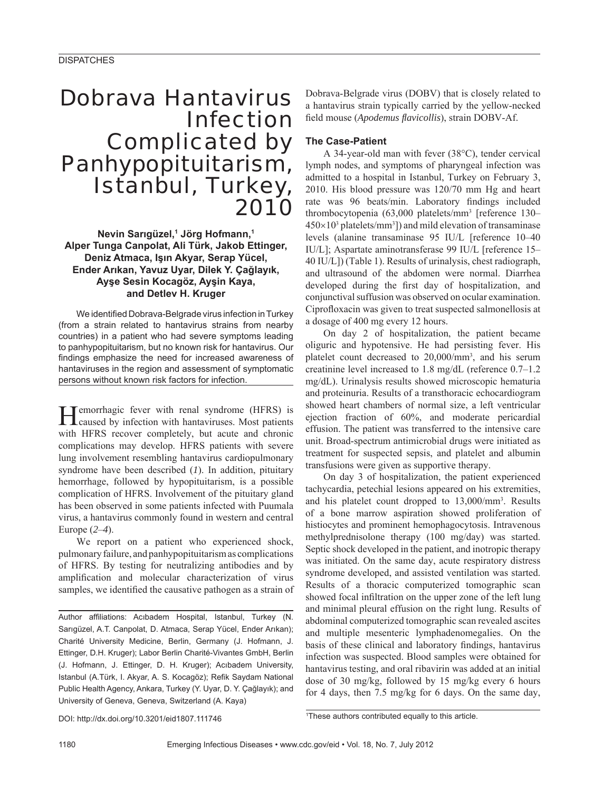# Dobrava Hantavirus Infection Complicated by Panhypopituitarism, Istanbul, Turkey, 2010

**Nevin Sarıgüzel,1 Jörg Hofmann,1 Alper Tunga Canpolat, Ali Türk, Jakob Ettinger, Deniz Atmaca, Işın Akyar, Serap Yücel, Ender Arıkan, Yavuz Uyar, Dilek Y. Çağlayık, Ayşe Sesin Kocagöz, Ayşin Kaya, and Detlev H. Kruger**

We identified Dobrava-Belgrade virus infection in Turkey (from a strain related to hantavirus strains from nearby countries) in a patient who had severe symptoms leading to panhypopituitarism, but no known risk for hantavirus. Our findings emphasize the need for increased awareness of hantaviruses in the region and assessment of symptomatic persons without known risk factors for infection.

Hemorrhagic fever with renal syndrome (HFRS) is caused by infection with hantaviruses. Most patients with HFRS recover completely, but acute and chronic complications may develop. HFRS patients with severe lung involvement resembling hantavirus cardiopulmonary syndrome have been described (*1*). In addition, pituitary hemorrhage, followed by hypopituitarism, is a possible complication of HFRS. Involvement of the pituitary gland has been observed in some patients infected with Puumala virus, a hantavirus commonly found in western and central Europe (*2*–*4*).

We report on a patient who experienced shock, pulmonary failure, and panhypopituitarism as complications of HFRS. By testing for neutralizing antibodies and by amplification and molecular characterization of virus samples, we identified the causative pathogen as a strain of

Author affiliations: Acıbadem Hospital, Istanbul, Turkey (N. Sarıgüzel, A.T. Canpolat, D. Atmaca, Serap Yücel, Ender Arıkan); Charité University Medicine, Berlin, Germany (J. Hofmann, J. Ettinger, D.H. Kruger); Labor Berlin Charité-Vivantes GmbH, Berlin (J. Hofmann, J. Ettinger, D. H. Kruger); Acıbadem University, Istanbul (A.Türk, I. Akyar, A. S. Kocagöz); Refik Saydam National Public Health Agency, Ankara, Turkey (Y. Uyar, D. Y. Çağlayık); and University of Geneva, Geneva, Switzerland (A. Kaya)

Dobrava-Belgrade virus (DOBV) that is closely related to a hantavirus strain typically carried by the yellow-necked field mouse (*Apodemus flavicollis*), strain DOBV-Af.

## **The Case-Patient**

A 34-year-old man with fever (38°C), tender cervical lymph nodes, and symptoms of pharyngeal infection was admitted to a hospital in Istanbul, Turkey on February 3, 2010. His blood pressure was 120/70 mm Hg and heart rate was 96 beats/min. Laboratory findings included thrombocytopenia (63,000 platelets/mm3 [reference 130–  $450\times10^3$  platelets/mm<sup>3</sup>]) and mild elevation of transaminase levels (alanine transaminase 95 IU/L [reference 10–40 IU/L]; Aspartate aminotransferase 99 IU/L [reference 15– 40 IU/L]) (Table 1). Results of urinalysis, chest radiograph, and ultrasound of the abdomen were normal. Diarrhea developed during the first day of hospitalization, and conjunctival suffusion was observed on ocular examination. Ciprofloxacin was given to treat suspected salmonellosis at a dosage of 400 mg every 12 hours.

On day 2 of hospitalization, the patient became oliguric and hypotensive. He had persisting fever. His platelet count decreased to 20,000/mm3 , and his serum creatinine level increased to 1.8 mg/dL (reference 0.7–1.2 mg/dL). Urinalysis results showed microscopic hematuria and proteinuria. Results of a transthoracic echocardiogram showed heart chambers of normal size, a left ventricular ejection fraction of 60%, and moderate pericardial effusion. The patient was transferred to the intensive care unit. Broad-spectrum antimicrobial drugs were initiated as treatment for suspected sepsis, and platelet and albumin transfusions were given as supportive therapy.

On day 3 of hospitalization, the patient experienced tachycardia, petechial lesions appeared on his extremities, and his platelet count dropped to 13,000/mm<sup>3</sup>. Results of a bone marrow aspiration showed proliferation of histiocytes and prominent hemophagocytosis. Intravenous methylprednisolone therapy (100 mg/day) was started. Septic shock developed in the patient, and inotropic therapy was initiated. On the same day, acute respiratory distress syndrome developed, and assisted ventilation was started. Results of a thoracic computerized tomographic scan showed focal infiltration on the upper zone of the left lung and minimal pleural effusion on the right lung. Results of abdominal computerized tomographic scan revealed ascites and multiple mesenteric lymphadenomegalies. On the basis of these clinical and laboratory findings, hantavirus infection was suspected. Blood samples were obtained for hantavirus testing, and oral ribavirin was added at an initial dose of 30 mg/kg, followed by 15 mg/kg every 6 hours for 4 days, then 7.5 mg/kg for 6 days. On the same day,

DOI: http://dx.doi.org/10.3201/eid1807.111746 <sup>1</sup>

<sup>1</sup>These authors contributed equally to this article.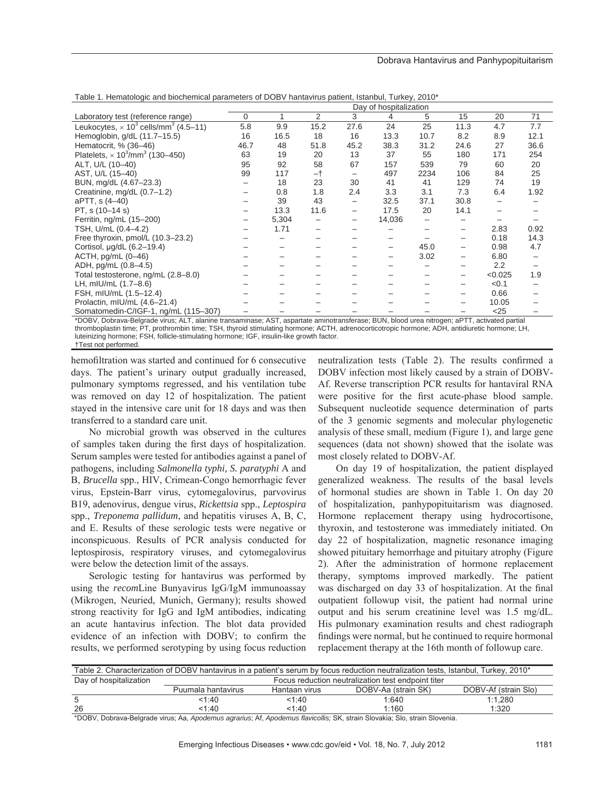|                                                                     |      |       |      |      | Day of hospitalization |      |      |                  |      |
|---------------------------------------------------------------------|------|-------|------|------|------------------------|------|------|------------------|------|
| Laboratory test (reference range)                                   | 0    |       | 2    | 3    | 4                      | 5    | 15   | 20               | 71   |
| Leukocytes, $\times$ 10 <sup>3</sup> cells/mm <sup>3</sup> (4.5–11) | 5.8  | 9.9   | 15.2 | 27.6 | 24                     | 25   | 11.3 | 4.7              | 7.7  |
| Hemoglobin, g/dL (11.7-15.5)                                        | 16   | 16.5  | 18   | 16   | 13.3                   | 10.7 | 8.2  | 8.9              | 12.1 |
| Hematocrit, % (36-46)                                               | 46.7 | 48    | 51.8 | 45.2 | 38.3                   | 31.2 | 24.6 | 27               | 36.6 |
| Platelets, $\times 10^3/\text{mm}^3$ (130–450)                      | 63   | 19    | 20   | 13   | 37                     | 55   | 180  | 171              | 254  |
| ALT, U/L (10-40)                                                    | 95   | 92    | 58   | 67   | 157                    | 539  | 79   | 60               | 20   |
| AST, U/L (15-40)                                                    | 99   | 117   | -†   | -    | 497                    | 2234 | 106  | 84               | 25   |
| BUN, mg/dL (4.67-23.3)                                              |      | 18    | 23   | 30   | 41                     | 41   | 129  | 74               | 19   |
| Creatinine, mg/dL (0.7-1.2)                                         |      | 0.8   | 1.8  | 2.4  | 3.3                    | 3.1  | 7.3  | 6.4              | 1.92 |
| aPTT, s (4-40)                                                      |      | 39    | 43   | -    | 32.5                   | 37.1 | 30.8 |                  |      |
| PT, s (10-14 s)                                                     |      | 13.3  | 11.6 | -    | 17.5                   | 20   | 14.1 |                  |      |
| Ferritin, ng/mL (15-200)                                            |      | 5,304 |      | —    | 14,036                 |      |      |                  |      |
| TSH, U/mL (0.4-4.2)                                                 |      | 1.71  |      |      |                        |      |      | 2.83             | 0.92 |
| Free thyroxin, pmol/L (10.3-23.2)                                   |      |       |      |      |                        |      | -    | 0.18             | 14.3 |
| Cortisol, µg/dL (6.2-19.4)                                          |      |       |      |      |                        | 45.0 | -    | 0.98             | 4.7  |
| $ACTH$ , pg/mL $(0-46)$                                             |      |       |      |      |                        | 3.02 |      | 6.80             |      |
| ADH, pg/mL (0.8-4.5)                                                |      |       |      |      |                        |      |      | $2.2\phantom{0}$ |      |
| Total testosterone, ng/mL (2.8-8.0)                                 |      |       |      |      |                        |      | -    | < 0.025          | 1.9  |
| LH, mIU/mL (1.7-8.6)                                                |      |       |      |      |                        |      |      | < 0.1            |      |
| FSH, mIU/mL (1.5-12.4)                                              |      |       |      |      |                        |      |      | 0.66             |      |
| Prolactin, mIU/mL (4.6-21.4)                                        |      |       |      |      |                        |      |      | 10.05            |      |
| Somatomedin-C/IGF-1, ng/mL (115-307)                                |      |       |      |      |                        |      |      | $<$ 25           |      |

Table 1. Hematologic and biochemical parameters of DOBV hantavirus patient, Istanbul, Turkey, 2010\*

\*DOBV, Dobrava-Belgrade virus; ALT, alanine transaminase; AST, aspartate aminotransferase; BUN, blood urea nitrogen; aPTT, activated partial thromboplastin time; PT, prothrombin time; TSH, thyroid stimulating hormone; ACTH, adrenocorticotropic hormone; ADH, antidiuretic hormone; LH, luteinizing hormone; FSH, follicle-stimulating hormone; IGF, insulin-like growth factor. †Test not performed.

hemofiltration was started and continued for 6 consecutive days. The patient's urinary output gradually increased, pulmonary symptoms regressed, and his ventilation tube was removed on day 12 of hospitalization. The patient stayed in the intensive care unit for 18 days and was then transferred to a standard care unit.

No microbial growth was observed in the cultures of samples taken during the first days of hospitalization. Serum samples were tested for antibodies against a panel of pathogens, including *Salmonella typhi, S. paratyphi* A and B, *Brucella* spp., HIV, Crimean-Congo hemorrhagic fever virus, Epstein-Barr virus, cytomegalovirus, parvovirus B19, adenovirus, dengue virus, *Rickettsia* spp., *Leptospira* spp., *Treponema pallidum*, and hepatitis viruses A, B, C, and E. Results of these serologic tests were negative or inconspicuous. Results of PCR analysis conducted for leptospirosis, respiratory viruses, and cytomegalovirus were below the detection limit of the assays.

Serologic testing for hantavirus was performed by using the *recom*Line Bunyavirus IgG/IgM immunoassay (Mikrogen, Neuried, Munich, Germany); results showed strong reactivity for IgG and IgM antibodies, indicating an acute hantavirus infection. The blot data provided evidence of an infection with DOBV; to confirm the results, we performed serotyping by using focus reduction

neutralization tests (Table 2). The results confirmed a DOBV infection most likely caused by a strain of DOBV-Af. Reverse transcription PCR results for hantaviral RNA were positive for the first acute-phase blood sample. Subsequent nucleotide sequence determination of parts of the 3 genomic segments and molecular phylogenetic analysis of these small, medium (Figure 1), and large gene sequences (data not shown) showed that the isolate was most closely related to DOBV-Af.

On day 19 of hospitalization, the patient displayed generalized weakness. The results of the basal levels of hormonal studies are shown in Table 1. On day 20 of hospitalization, panhypopituitarism was diagnosed. Hormone replacement therapy using hydrocortisone, thyroxin, and testosterone was immediately initiated. On day 22 of hospitalization, magnetic resonance imaging showed pituitary hemorrhage and pituitary atrophy (Figure 2). After the administration of hormone replacement therapy, symptoms improved markedly. The patient was discharged on day 33 of hospitalization. At the final outpatient followup visit, the patient had normal urine output and his serum creatinine level was 1.5 mg/dL. His pulmonary examination results and chest radiograph findings were normal, but he continued to require hormonal replacement therapy at the 16th month of followup care.

| Table 2. Characterization of DOBV hantavirus in a patient's serum by focus reduction neutralization tests, Istanbul, Turkey, 2010* |                                                    |               |                     |                      |  |  |  |  |
|------------------------------------------------------------------------------------------------------------------------------------|----------------------------------------------------|---------------|---------------------|----------------------|--|--|--|--|
| Day of hospitalization                                                                                                             | Focus reduction neutralization test endpoint titer |               |                     |                      |  |  |  |  |
|                                                                                                                                    | Puumala hantavirus                                 | Hantaan virus | DOBV-Aa (strain SK) | DOBV-Af (strain Slo) |  |  |  |  |
| b                                                                                                                                  | 1:40                                               | 1:40          | 1:640               | 1:1.280              |  |  |  |  |
| 26                                                                                                                                 | 1:40                                               | 1:40          | 1:160               | 1:320                |  |  |  |  |

\*DOBV, Dobrava-Belgrade virus; Aa, *Apodemus agrarius*; Af, *Apodemus flavicollis;* SK, strain Slovakia; Slo, strain Slovenia.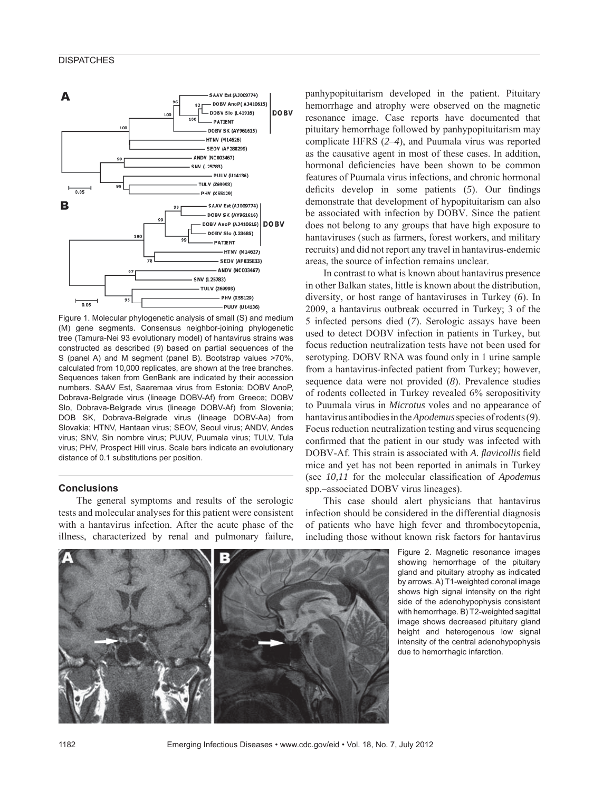

Figure 1. Molecular phylogenetic analysis of small (S) and medium (M) gene segments. Consensus neighbor-joining phylogenetic tree (Tamura-Nei 93 evolutionary model) of hantavirus strains was constructed as described (*9*) based on partial sequences of the S (panel A) and M segment (panel B). Bootstrap values >70%, calculated from 10,000 replicates, are shown at the tree branches. Sequences taken from GenBank are indicated by their accession numbers. SAAV Est, Saaremaa virus from Estonia; DOBV AnoP, Dobrava-Belgrade virus (lineage DOBV-Af) from Greece; DOBV Slo, Dobrava-Belgrade virus (lineage DOBV-Af) from Slovenia; DOB SK, Dobrava-Belgrade virus (lineage DOBV-Aa) from Slovakia; HTNV, Hantaan virus; SEOV, Seoul virus; ANDV, Andes virus; SNV, Sin nombre virus; PUUV, Puumala virus; TULV, Tula virus; PHV, Prospect Hill virus. Scale bars indicate an evolutionary distance of 0.1 substitutions per position.

## **Conclusions**

The general symptoms and results of the serologic tests and molecular analyses for this patient were consistent with a hantavirus infection. After the acute phase of the illness, characterized by renal and pulmonary failure,

panhypopituitarism developed in the patient. Pituitary hemorrhage and atrophy were observed on the magnetic resonance image. Case reports have documented that pituitary hemorrhage followed by panhypopituitarism may complicate HFRS (*2*–*4*), and Puumala virus was reported as the causative agent in most of these cases. In addition, hormonal deficiencies have been shown to be common features of Puumala virus infections, and chronic hormonal deficits develop in some patients (5). Our findings demonstrate that development of hypopituitarism can also be associated with infection by DOBV. Since the patient does not belong to any groups that have high exposure to hantaviruses (such as farmers, forest workers, and military recruits) and did not report any travel in hantavirus-endemic areas, the source of infection remains unclear.

In contrast to what is known about hantavirus presence in other Balkan states, little is known about the distribution, diversity, or host range of hantaviruses in Turkey (*6*). In 2009, a hantavirus outbreak occurred in Turkey; 3 of the 5 infected persons died (*7*). Serologic assays have been used to detect DOBV infection in patients in Turkey, but focus reduction neutralization tests have not been used for serotyping. DOBV RNA was found only in 1 urine sample from a hantavirus-infected patient from Turkey; however, sequence data were not provided (*8*). Prevalence studies of rodents collected in Turkey revealed 6% seropositivity to Puumala virus in *Microtus* voles and no appearance of hantavirus antibodies in the *Apodemus* species of rodents (*9*). Focus reduction neutralization testing and virus sequencing confirmed that the patient in our study was infected with DOBV-Af. This strain is associated with *A. flavicollis* field mice and yet has not been reported in animals in Turkey (see *10,11* for the molecular classification of *Apodemus* spp.–associated DOBV virus lineages).

This case should alert physicians that hantavirus infection should be considered in the differential diagnosis of patients who have high fever and thrombocytopenia, including those without known risk factors for hantavirus

> Figure 2. Magnetic resonance images showing hemorrhage of the pituitary gland and pituitary atrophy as indicated by arrows. A) T1-weighted coronal image shows high signal intensity on the right side of the adenohypophysis consistent with hemorrhage. B) T2-weighted sagittal image shows decreased pituitary gland height and heterogenous low signal intensity of the central adenohypophysis due to hemorrhagic infarction.



1182 Emerging Infectious Diseases • www.cdc.gov/eid • Vol. 18, No. 7, July 2012